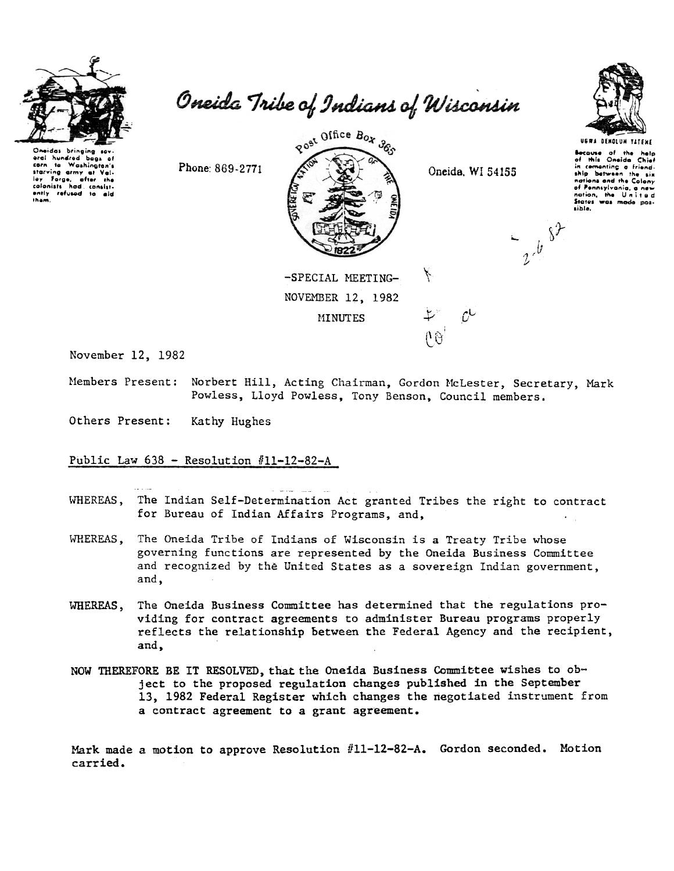

eral hundred baoi

 $+$ corn

Oneida Tribe of Indians of Wisconsin



Oneida, WI 54155

 $2^{10^{9}}$ 



Because of the help<br>of this Oneida Chief in comenting a friendship between the six sin of Pennsylvania. nation, the United<br>States was made possible.

Washington's Fracture army at Value of the top force the colonists had consistently refused to aid starving army at Val.



November 12, 1982

Members Present: Norbert Hill, Acting Chairman, Gordon McLester, Secretary, Mark Powless, Lloyd Powless, Tony Benson, Council members.

Others Present: Kathy Hughes

Public Law  $638$  - Resolution #11-12-82-A

- WHEREAS, The Indian Self-Determination Act granted Tribes the right to contract for Bureau of Indian Affairs Programs, and,
- WHEREAS, The Oneida Tribe of Indians of Wisconsin is a Treaty Tribe whose governing functions are represented by the Oneida Business Committee and recognized by the United States as a sovereign Indian government, and,
- The Oneida Business Committee has determined that the regulations pro-WHEREAS, viding for contract agreements to administer Bureau programs properly reflects the relationship between the Federal Agency and the recipient, and,
- NOW THEREFORE BE IT RESOLVED, that the Oneida Business Committee wishes to object to the proposed regulation changes published in the September 13, 1982 Federal Register which changes the negotiated instrument from a contract agreement to a grant agreement.

Mark made a motion to approve Resolution #11-12-82-A. Gordon seconded. Motion carried.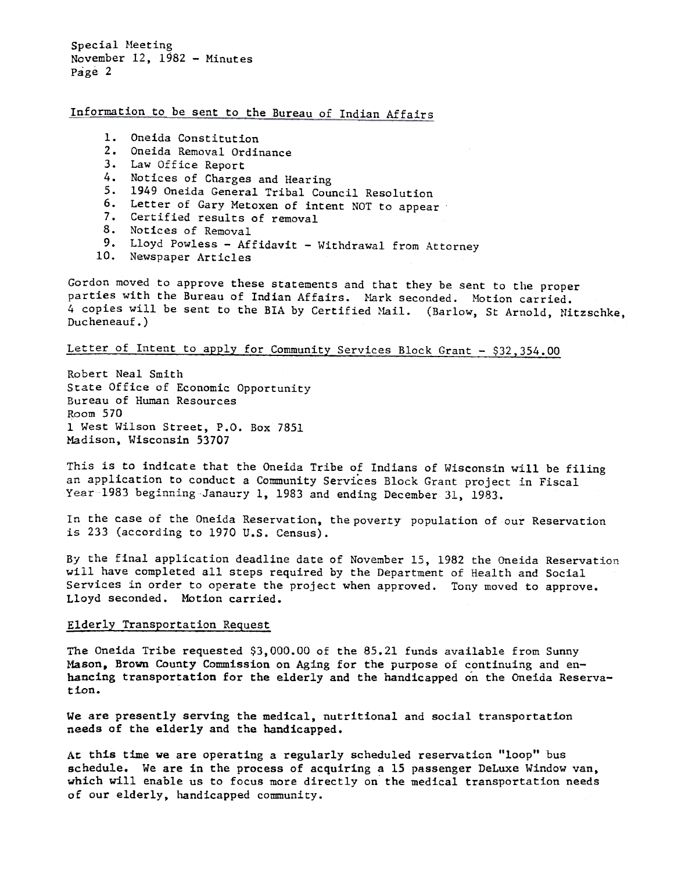Special Meeting November 12,  $1982 -$  Minutes Page 2

## Information to be sent to the Bureau of Indian Affairs

- 1. Oneida Constitut
- 2. Oneida Removal Ordinano
- 3. Law Office Repor
- 4. Notices of Charges and Hearin
- 5. 1949 Oneida General Tribal Council Resoluti
- 6. Letter of Gary Metoxen of intent NOT to appear
- 7. Certified results of remova
- 8. Notices of Removal
- 9. Lloyd Powless Affidavit Withdrawal from Attorn
- 10. Newspaper Articles

Gordon moved to approve these statements and that they be sent to the proper parties with the Bureau of Indian Affairs. Mark seconded. Motion carried. 4 copies will be sent to the BIA by Certified Mail. (Barlow, St Arnold, Nitzschke, Ducheneauf.)

Letter of Intent to apply for Community Services Block Grant - \$32,354.00

Robert Neal Smith State Office of Economic Opportunity Bureau of Human Resources Room 570 1 West Wilson Street, P.O. Box 7851 Madison, Wisconsin 53707

This is to indicate that the Oneida Tribe of Indians of Wisconsin will be filing an application to conduct a Community Services Block Grant project in Fiscal Year 1983 beginning Janaury 1, 1983 and ending December 31, 1983.

In the case of the Oneida Reservation, the poverty population of our Reservation is 233 (according to 1970 U.S. Census).

By the final application deadline date of November 15, 1982 the Oneida Reservation will have completed all steps required by the Department of Health and Social Services in order to operate the project when approved. Tony moved to approve. Lloyd seconded. Motion carried.

## Elderly Transportation Request

The Oneida Tribe requested  $$3,000.00$  of the  $85.21$  funds available from Sunny Mason, Brown County Commission on Aging for the purpose of continuing and enhancing transportation for the elderly and the handicapped on the Oneida Reservation.

We are presently serving the medical, nutritional and social transportation needs of the elderly and the handicapped.

At this time we are operating a regularly scheduled reservation "loop" bus schedule. We are in the process of acquiring a 15 passenger DeLuxe Window van. which will enable us to focus more directly on the medical transportation needs of our elderly. handicapped community.